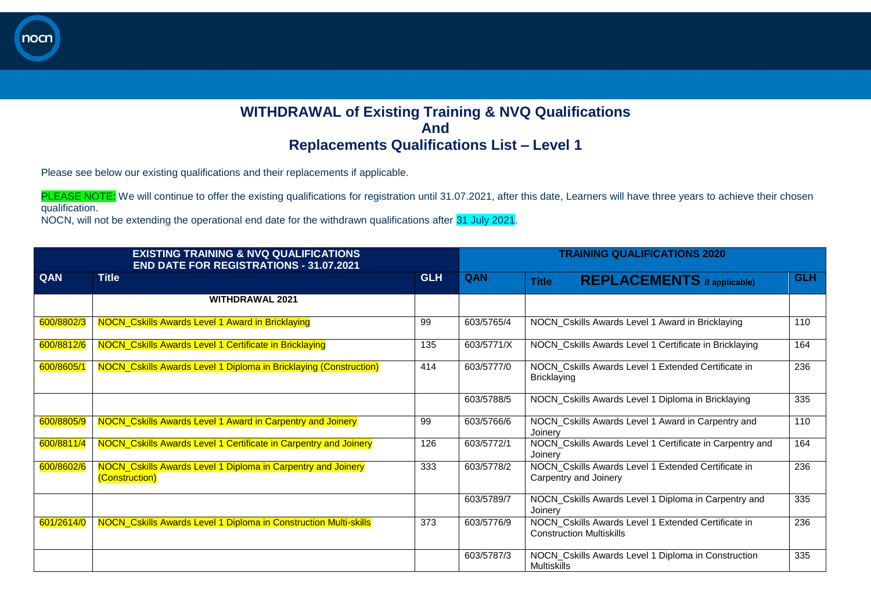## **WITHDRAWAL of Existing Training & NVQ Qualifications And Replacements Qualifications List – Level 1**

Please see below our existing qualifications and their replacements if applicable.

PLEASE NOTE: We will continue to offer the existing qualifications for registration until 31.07.2021, after this date, Learners will have three years to achieve their chosen qualification.

NOCN, will not be extending the operational end date for the withdrawn qualifications after 31 July 2021.

| <b>EXISTING TRAINING &amp; NVQ QUALIFICATIONS</b><br><b>END DATE FOR REGISTRATIONS - 31.07.2021</b> |                                                                                |            | <b>TRAINING QUALIFICATIONS 2020</b> |                                                                                        |            |
|-----------------------------------------------------------------------------------------------------|--------------------------------------------------------------------------------|------------|-------------------------------------|----------------------------------------------------------------------------------------|------------|
| QAN                                                                                                 | <b>Title</b>                                                                   | <b>GLH</b> | QAN                                 | <b>REPLACEMENTS</b> if applicable)<br><b>Title</b>                                     | <b>GLH</b> |
|                                                                                                     | <b>WITHDRAWAL 2021</b>                                                         |            |                                     |                                                                                        |            |
| 600/8802/3                                                                                          | NOCN_Cskills Awards Level 1 Award in Bricklaying                               | 99         | 603/5765/4                          | NOCN_Cskills Awards Level 1 Award in Bricklaying                                       | 110        |
| 600/8812/6                                                                                          | NOCN_Cskills Awards Level 1 Certificate in Bricklaying                         | 135        | 603/5771/X                          | NOCN_Cskills Awards Level 1 Certificate in Bricklaying                                 | 164        |
| 600/8605/1                                                                                          | NOCN_Cskills Awards Level 1 Diploma in Bricklaying (Construction)              | 414        | 603/5777/0                          | NOCN_Cskills Awards Level 1 Extended Certificate in<br><b>Bricklaying</b>              | 236        |
|                                                                                                     |                                                                                |            | 603/5788/5                          | NOCN_Cskills Awards Level 1 Diploma in Bricklaying                                     | 335        |
| 600/8805/9                                                                                          | NOCN_Cskills Awards Level 1 Award in Carpentry and Joinery                     | 99         | 603/5766/6                          | NOCN_Cskills Awards Level 1 Award in Carpentry and<br>Joinery                          | 110        |
| 600/8811/4                                                                                          | NOCN_Cskills Awards Level 1 Certificate in Carpentry and Joinery               | 126        | 603/5772/1                          | NOCN_Cskills Awards Level 1 Certificate in Carpentry and<br>Joinery                    | 164        |
| 600/8602/6                                                                                          | NOCN_Cskills Awards Level 1 Diploma in Carpentry and Joinery<br>(Construction) | 333        | 603/5778/2                          | NOCN_Cskills Awards Level 1 Extended Certificate in<br>Carpentry and Joinery           | 236        |
|                                                                                                     |                                                                                |            | 603/5789/7                          | NOCN_Cskills Awards Level 1 Diploma in Carpentry and<br>Joinery                        | 335        |
| 601/2614/0                                                                                          | NOCN_Cskills Awards Level 1 Diploma in Construction Multi-skills               | 373        | 603/5776/9                          | NOCN_Cskills Awards Level 1 Extended Certificate in<br><b>Construction Multiskills</b> | 236        |
|                                                                                                     |                                                                                |            | 603/5787/3                          | NOCN_Cskills Awards Level 1 Diploma in Construction<br>Multiskills                     | 335        |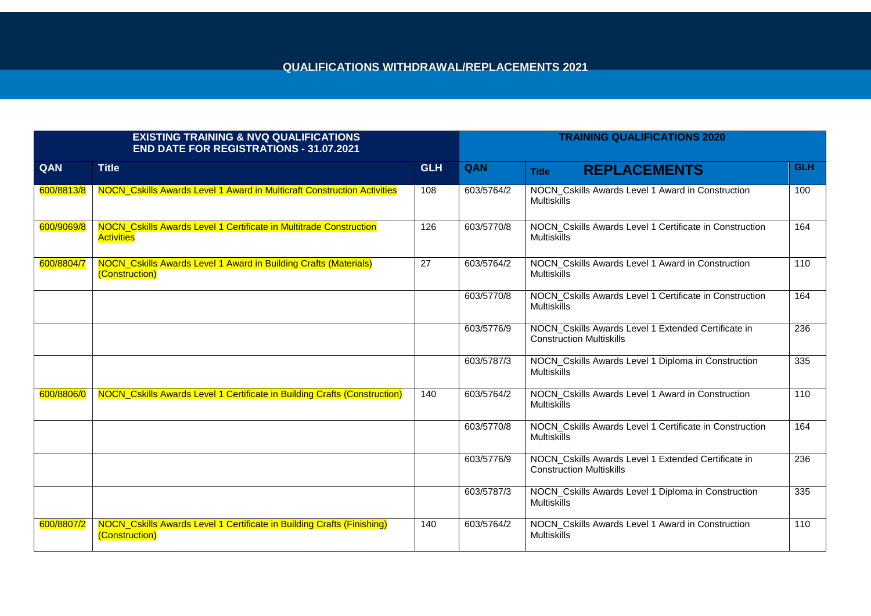| <b>EXISTING TRAINING &amp; NVQ QUALIFICATIONS</b><br><b>END DATE FOR REGISTRATIONS - 31.07.2021</b> |                                                                                                 |            | <b>TRAINING QUALIFICATIONS 2020</b> |                                                                                        |            |
|-----------------------------------------------------------------------------------------------------|-------------------------------------------------------------------------------------------------|------------|-------------------------------------|----------------------------------------------------------------------------------------|------------|
| QAN                                                                                                 | <b>Title</b>                                                                                    | <b>GLH</b> | QAN                                 | <b>REPLACEMENTS</b><br><b>Title</b>                                                    | <b>GLH</b> |
| 600/8813/8                                                                                          | <b>NOCN_Cskills Awards Level 1 Award in Multicraft Construction Activities</b>                  | 108        | 603/5764/2                          | NOCN_Cskills Awards Level 1 Award in Construction<br><b>Multiskills</b>                | 100        |
| 600/9069/8                                                                                          | NOCN_Cskills Awards Level 1 Certificate in Multitrade Construction<br><b>Activities</b>         | 126        | 603/5770/8                          | NOCN_Cskills Awards Level 1 Certificate in Construction<br><b>Multiskills</b>          | 164        |
| 600/8804/7                                                                                          | NOCN_Cskills Awards Level 1 Award in Building Crafts (Materials)<br>(Construction)              | 27         | 603/5764/2                          | NOCN_Cskills Awards Level 1 Award in Construction<br><b>Multiskills</b>                | 110        |
|                                                                                                     |                                                                                                 |            | 603/5770/8                          | NOCN_Cskills Awards Level 1 Certificate in Construction<br><b>Multiskills</b>          | 164        |
|                                                                                                     |                                                                                                 |            | 603/5776/9                          | NOCN_Cskills Awards Level 1 Extended Certificate in<br><b>Construction Multiskills</b> | 236        |
|                                                                                                     |                                                                                                 |            | 603/5787/3                          | NOCN_Cskills Awards Level 1 Diploma in Construction<br><b>Multiskills</b>              | 335        |
| 600/8806/0                                                                                          | NOCN_Cskills Awards Level 1 Certificate in Building Crafts (Construction)                       | 140        | 603/5764/2                          | NOCN_Cskills Awards Level 1 Award in Construction<br><b>Multiskills</b>                | 110        |
|                                                                                                     |                                                                                                 |            | 603/5770/8                          | NOCN_Cskills Awards Level 1 Certificate in Construction<br><b>Multiskills</b>          | 164        |
|                                                                                                     |                                                                                                 |            | 603/5776/9                          | NOCN_Cskills Awards Level 1 Extended Certificate in<br><b>Construction Multiskills</b> | 236        |
|                                                                                                     |                                                                                                 |            | 603/5787/3                          | NOCN_Cskills Awards Level 1 Diploma in Construction<br><b>Multiskills</b>              | 335        |
| 600/8807/2                                                                                          | <b>NOCN_Cskills Awards Level 1 Certificate in Building Crafts (Finishing)</b><br>(Construction) | 140        | 603/5764/2                          | NOCN_Cskills Awards Level 1 Award in Construction<br><b>Multiskills</b>                | 110        |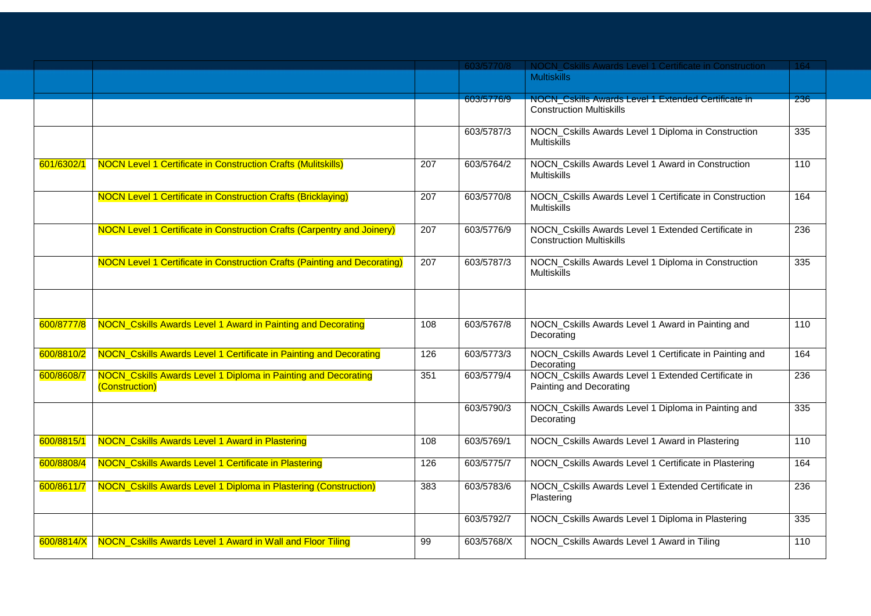|            |                                                                                         |     |            | Awards Level 1 Certificate in Construction                                                    |                 |
|------------|-----------------------------------------------------------------------------------------|-----|------------|-----------------------------------------------------------------------------------------------|-----------------|
|            |                                                                                         |     |            | <b>Multiskills</b>                                                                            |                 |
|            |                                                                                         |     | 603/5776/9 | <b>NOCN_Cskills Awards Level 1 Extended Certificate in</b><br><b>Construction Multiskills</b> | 236             |
|            |                                                                                         |     | 603/5787/3 | NOCN_Cskills Awards Level 1 Diploma in Construction<br><b>Multiskills</b>                     | $\frac{1}{335}$ |
| 601/6302/1 | <b>NOCN Level 1 Certificate in Construction Crafts (Mulitskills)</b>                    | 207 | 603/5764/2 | NOCN_Cskills Awards Level 1 Award in Construction<br><b>Multiskills</b>                       | 110             |
|            | <b>NOCN Level 1 Certificate in Construction Crafts (Bricklaying)</b>                    | 207 | 603/5770/8 | NOCN_Cskills Awards Level 1 Certificate in Construction<br><b>Multiskills</b>                 | 164             |
|            | <b>NOCN Level 1 Certificate in Construction Crafts (Carpentry and Joinery)</b>          | 207 | 603/5776/9 | NOCN_Cskills Awards Level 1 Extended Certificate in<br><b>Construction Multiskills</b>        | 236             |
|            | <b>NOCN Level 1 Certificate in Construction Crafts (Painting and Decorating)</b>        | 207 | 603/5787/3 | NOCN_Cskills Awards Level 1 Diploma in Construction<br><b>Multiskills</b>                     | 335             |
|            |                                                                                         |     |            |                                                                                               |                 |
| 600/8777/8 | <b>NOCN_Cskills Awards Level 1 Award in Painting and Decorating</b>                     | 108 | 603/5767/8 | NOCN_Cskills Awards Level 1 Award in Painting and<br>Decorating                               | 110             |
| 600/8810/2 | NOCN_Cskills Awards Level 1 Certificate in Painting and Decorating                      | 126 | 603/5773/3 | NOCN_Cskills Awards Level 1 Certificate in Painting and<br>Decorating                         | 164             |
| 600/8608/7 | <b>NOCN_Cskills Awards Level 1 Diploma in Painting and Decorating</b><br>(Construction) | 351 | 603/5779/4 | NOCN_Cskills Awards Level 1 Extended Certificate in<br>Painting and Decorating                | 236             |
|            |                                                                                         |     | 603/5790/3 | NOCN Cskills Awards Level 1 Diploma in Painting and<br>Decorating                             | 335             |
| 600/8815/1 | <b>NOCN_Cskills Awards Level 1 Award in Plastering</b>                                  | 108 | 603/5769/1 | NOCN_Cskills Awards Level 1 Award in Plastering                                               | 110             |
| 600/8808/4 | <b>NOCN_Cskills Awards Level 1 Certificate in Plastering</b>                            | 126 | 603/5775/7 | NOCN_Cskills Awards Level 1 Certificate in Plastering                                         | 164             |
| 600/8611/7 | NOCN_Cskills Awards Level 1 Diploma in Plastering (Construction)                        | 383 | 603/5783/6 | NOCN_Cskills Awards Level 1 Extended Certificate in<br>Plastering                             | 236             |
|            |                                                                                         |     | 603/5792/7 | NOCN_Cskills Awards Level 1 Diploma in Plastering                                             | 335             |
| 600/8814/X | <b>NOCN_Cskills Awards Level 1 Award in Wall and Floor Tiling</b>                       | 99  | 603/5768/X | NOCN_Cskills Awards Level 1 Award in Tiling                                                   | 110             |